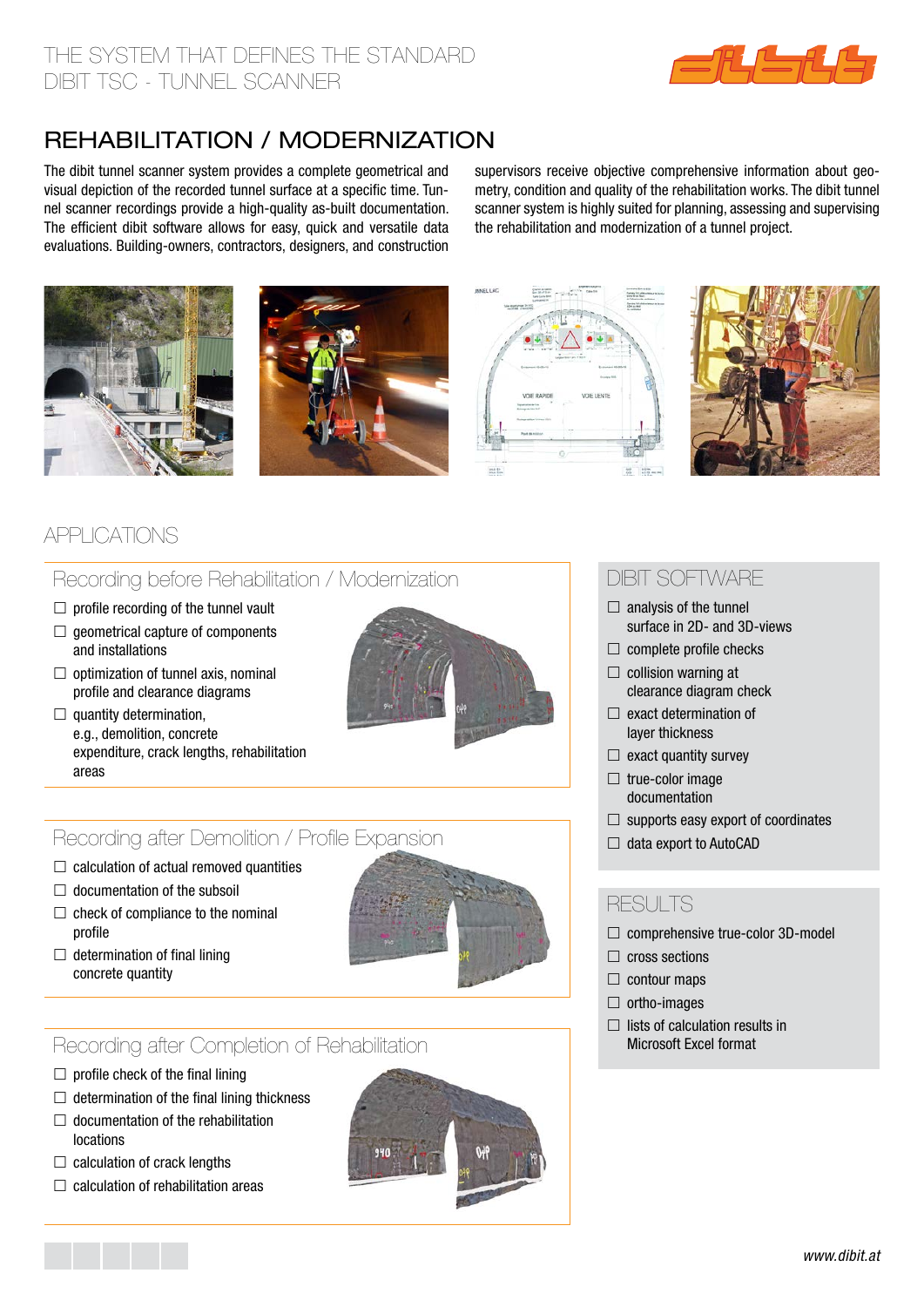

# rehabilitation / modernization

The dibit tunnel scanner system provides a complete geometrical and visual depiction of the recorded tunnel surface at a specific time. Tunnel scanner recordings provide a high-quality as-built documentation. The efficient dibit software allows for easy, quick and versatile data evaluations. Building-owners, contractors, designers, and construction

supervisors receive objective comprehensive information about geometry, condition and quality of the rehabilitation works. The dibit tunnel scanner system is highly suited for planning, assessing and supervising the rehabilitation and modernization of a tunnel project.









# applications

## Recording before Rehabilitation / Modernization

- $\Box$  profile recording of the tunnel vault
- $\Box$  geometrical capture of components and installations
- $\Box$  optimization of tunnel axis, nominal profile and clearance diagrams
- $\Box$  quantity determination, e.g., demolition, concrete expenditure, crack lengths, rehabilitation areas



## Recording after Demolition / Profile Expansion

- $\Box$  calculation of actual removed quantities
- $\Box$  documentation of the subsoil
- $\Box$  check of compliance to the nominal profile
- 
- $\Box$  determination of final lining concrete quantity

## Recording after Completion of Rehabilitation

- $\Box$  profile check of the final lining
- $\Box$  determination of the final lining thickness
- $\Box$  documentation of the rehabilitation locations
- $\Box$  calculation of crack lengths
- $\Box$  calculation of rehabilitation areas



## dibit software

- $\Box$  analysis of the tunnel surface in 2D- and 3D-views
- $\Box$  complete profile checks
- $\Box$  collision warning at clearance diagram check
- $\Box$  exact determination of layer thickness
- $\Box$  exact quantity survey
- $\Box$  true-color image documentation
- $\Box$  supports easy export of coordinates
- $\Box$  data export to AutoCAD

#### RESULTS

- $\Box$  comprehensive true-color 3D-model
- $\Box$  cross sections
- $\Box$  contour maps
- $\Box$  ortho-images
- $\Box$  lists of calculation results in Microsoft Excel format